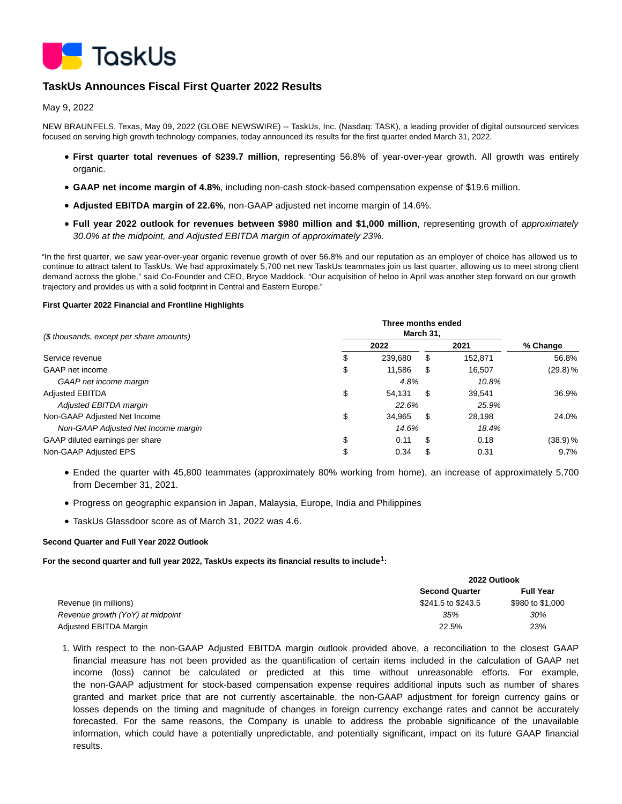

# **TaskUs Announces Fiscal First Quarter 2022 Results**

May 9, 2022

NEW BRAUNFELS, Texas, May 09, 2022 (GLOBE NEWSWIRE) -- TaskUs, Inc. (Nasdaq: TASK), a leading provider of digital outsourced services focused on serving high growth technology companies, today announced its results for the first quarter ended March 31, 2022.

- **First quarter total revenues of \$239.7 million**, representing 56.8% of year-over-year growth. All growth was entirely organic.
- **GAAP net income margin of 4.8%**, including non-cash stock-based compensation expense of \$19.6 million.
- **Adjusted EBITDA margin of 22.6%**, non-GAAP adjusted net income margin of 14.6%.
- **Full year 2022 outlook for revenues between \$980 million and \$1,000 million**, representing growth of approximately 30.0% at the midpoint, and Adjusted EBITDA margin of approximately 23%.

"In the first quarter, we saw year-over-year organic revenue growth of over 56.8% and our reputation as an employer of choice has allowed us to continue to attract talent to TaskUs. We had approximately 5,700 net new TaskUs teammates join us last quarter, allowing us to meet strong client demand across the globe," said Co-Founder and CEO, Bryce Maddock. "Our acquisition of heloo in April was another step forward on our growth trajectory and provides us with a solid footprint in Central and Eastern Europe."

### **First Quarter 2022 Financial and Frontline Highlights**

| (\$ thousands, except per share amounts) |    |         |     |         |          |
|------------------------------------------|----|---------|-----|---------|----------|
|                                          |    | 2022    |     | 2021    | % Change |
| Service revenue                          | \$ | 239.680 | S   | 152.871 | 56.8%    |
| GAAP net income                          | \$ | 11.586  | S   | 16.507  | (29.8) % |
| GAAP net income margin                   |    | 4.8%    |     | 10.8%   |          |
| <b>Adjusted EBITDA</b>                   | \$ | 54.131  | \$  | 39.541  | 36.9%    |
| Adjusted EBITDA margin                   |    | 22.6%   |     | 25.9%   |          |
| Non-GAAP Adjusted Net Income             | \$ | 34.965  | \$. | 28.198  | 24.0%    |
| Non-GAAP Adjusted Net Income margin      |    | 14.6%   |     | 18.4%   |          |
| GAAP diluted earnings per share          | \$ | 0.11    | S   | 0.18    | (38.9) % |
| Non-GAAP Adjusted EPS                    | \$ | 0.34    | S   | 0.31    | $9.7\%$  |

- Ended the quarter with 45,800 teammates (approximately 80% working from home), an increase of approximately 5,700 from December 31, 2021.
- Progress on geographic expansion in Japan, Malaysia, Europe, India and Philippines
- TaskUs Glassdoor score as of March 31, 2022 was 4.6.

## **Second Quarter and Full Year 2022 Outlook**

**For the second quarter and full year 2022, TaskUs expects its financial results to include1:**

|                                  |                       | 2022 Outlook     |  |  |
|----------------------------------|-----------------------|------------------|--|--|
|                                  | <b>Second Quarter</b> | <b>Full Year</b> |  |  |
| Revenue (in millions)            | \$241.5 to \$243.5    | \$980 to \$1,000 |  |  |
| Revenue growth (YoY) at midpoint | 35%                   | 30%              |  |  |
| Adjusted EBITDA Margin           | 22.5%                 | 23%              |  |  |

1. With respect to the non-GAAP Adjusted EBITDA margin outlook provided above, a reconciliation to the closest GAAP financial measure has not been provided as the quantification of certain items included in the calculation of GAAP net income (loss) cannot be calculated or predicted at this time without unreasonable efforts. For example, the non-GAAP adjustment for stock-based compensation expense requires additional inputs such as number of shares granted and market price that are not currently ascertainable, the non-GAAP adjustment for foreign currency gains or losses depends on the timing and magnitude of changes in foreign currency exchange rates and cannot be accurately forecasted. For the same reasons, the Company is unable to address the probable significance of the unavailable information, which could have a potentially unpredictable, and potentially significant, impact on its future GAAP financial results.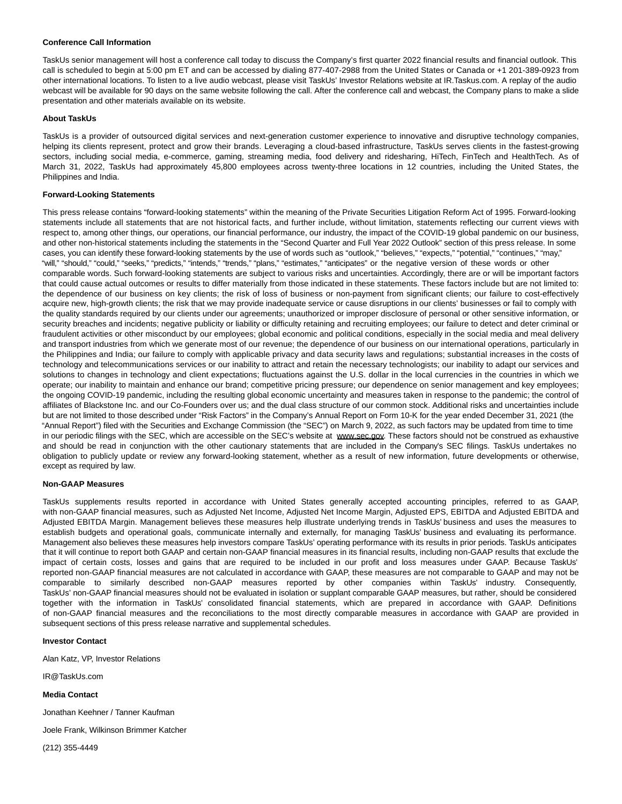### **Conference Call Information**

TaskUs senior management will host a conference call today to discuss the Company's first quarter 2022 financial results and financial outlook. This call is scheduled to begin at 5:00 pm ET and can be accessed by dialing 877-407-2988 from the United States or Canada or +1 201-389-0923 from other international locations. To listen to a live audio webcast, please visit TaskUs' Investor Relations website at IR.Taskus.com. A replay of the audio webcast will be available for 90 days on the same website following the call. After the conference call and webcast, the Company plans to make a slide presentation and other materials available on its website.

### **About TaskUs**

TaskUs is a provider of outsourced digital services and next-generation customer experience to innovative and disruptive technology companies, helping its clients represent, protect and grow their brands. Leveraging a cloud-based infrastructure, TaskUs serves clients in the fastest-growing sectors, including social media, e-commerce, gaming, streaming media, food delivery and ridesharing, HiTech, FinTech and HealthTech. As of March 31, 2022, TaskUs had approximately 45,800 employees across twenty-three locations in 12 countries, including the United States, the Philippines and India.

### **Forward-Looking Statements**

This press release contains "forward-looking statements" within the meaning of the Private Securities Litigation Reform Act of 1995. Forward-looking statements include all statements that are not historical facts, and further include, without limitation, statements reflecting our current views with respect to, among other things, our operations, our financial performance, our industry, the impact of the COVID-19 global pandemic on our business, and other non-historical statements including the statements in the "Second Quarter and Full Year 2022 Outlook" section of this press release. In some cases, you can identify these forward-looking statements by the use of words such as "outlook," "believes," "expects," "potential," "continues," "may," "will," "should," "could," "seeks," "predicts," "intends," "trends," "plans," "estimates," "anticipates" or the negative version of these words or other comparable words. Such forward-looking statements are subject to various risks and uncertainties. Accordingly, there are or will be important factors that could cause actual outcomes or results to differ materially from those indicated in these statements. These factors include but are not limited to: the dependence of our business on key clients; the risk of loss of business or non-payment from significant clients; our failure to cost-effectively acquire new, high-growth clients; the risk that we may provide inadequate service or cause disruptions in our clients' businesses or fail to comply with the quality standards required by our clients under our agreements; unauthorized or improper disclosure of personal or other sensitive information, or security breaches and incidents; negative publicity or liability or difficulty retaining and recruiting employees; our failure to detect and deter criminal or fraudulent activities or other misconduct by our employees; global economic and political conditions, especially in the social media and meal delivery and transport industries from which we generate most of our revenue; the dependence of our business on our international operations, particularly in the Philippines and India; our failure to comply with applicable privacy and data security laws and regulations; substantial increases in the costs of technology and telecommunications services or our inability to attract and retain the necessary technologists; our inability to adapt our services and solutions to changes in technology and client expectations; fluctuations against the U.S. dollar in the local currencies in the countries in which we operate; our inability to maintain and enhance our brand; competitive pricing pressure; our dependence on senior management and key employees; the ongoing COVID-19 pandemic, including the resulting global economic uncertainty and measures taken in response to the pandemic; the control of affiliates of Blackstone Inc. and our Co-Founders over us; and the dual class structure of our common stock. Additional risks and uncertainties include but are not limited to those described under "Risk Factors" in the Company's Annual Report on Form 10-K for the year ended December 31, 2021 (the "Annual Report") filed with the Securities and Exchange Commission (the "SEC") on March 9, 2022, as such factors may be updated from time to time in our periodic filings with the SEC, which are accessible on the SEC's website at www.sec.gov. These factors should not be construed as exhaustive and should be read in conjunction with the other cautionary statements that are included in the Company's SEC filings. TaskUs undertakes no obligation to publicly update or review any forward-looking statement, whether as a result of new information, future developments or otherwise, except as required by law.

### **Non-GAAP Measures**

TaskUs supplements results reported in accordance with United States generally accepted accounting principles, referred to as GAAP, with non-GAAP financial measures, such as Adjusted Net Income, Adjusted Net Income Margin, Adjusted EPS, EBITDA and Adjusted EBITDA and Adjusted EBITDA Margin. Management believes these measures help illustrate underlying trends in TaskUs' business and uses the measures to establish budgets and operational goals, communicate internally and externally, for managing TaskUs' business and evaluating its performance. Management also believes these measures help investors compare TaskUs' operating performance with its results in prior periods. TaskUs anticipates that it will continue to report both GAAP and certain non-GAAP financial measures in its financial results, including non-GAAP results that exclude the impact of certain costs, losses and gains that are required to be included in our profit and loss measures under GAAP. Because TaskUs' reported non-GAAP financial measures are not calculated in accordance with GAAP, these measures are not comparable to GAAP and may not be comparable to similarly described non-GAAP measures reported by other companies within TaskUs' industry. Consequently, TaskUs' non-GAAP financial measures should not be evaluated in isolation or supplant comparable GAAP measures, but rather, should be considered together with the information in TaskUs' consolidated financial statements, which are prepared in accordance with GAAP. Definitions of non-GAAP financial measures and the reconciliations to the most directly comparable measures in accordance with GAAP are provided in subsequent sections of this press release narrative and supplemental schedules.

### **Investor Contact**

Alan Katz, VP, Investor Relations

IR@TaskUs.com

**Media Contact**

Jonathan Keehner / Tanner Kaufman

Joele Frank, Wilkinson Brimmer Katcher

(212) 355-4449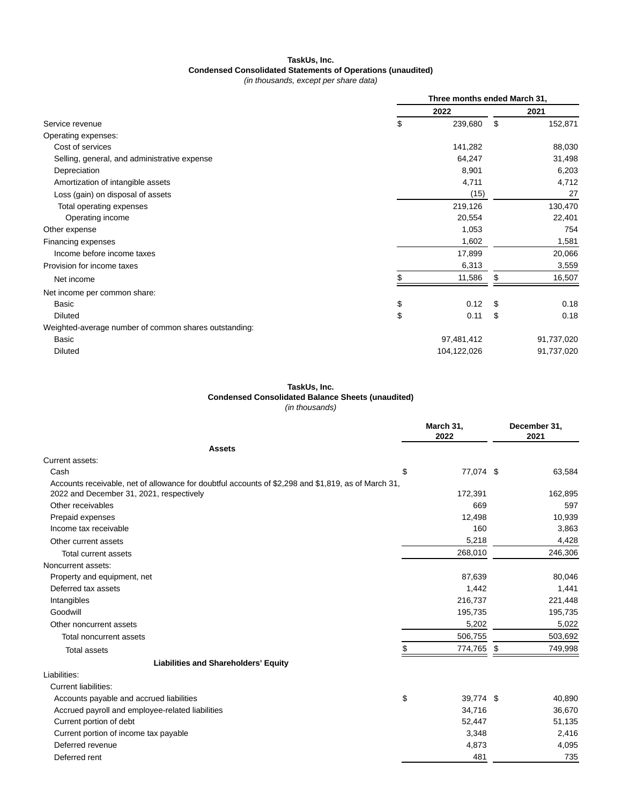# **TaskUs, Inc. Condensed Consolidated Statements of Operations (unaudited)**

(in thousands, except per share data)

|                                                       | Three months ended March 31, |             |      |            |
|-------------------------------------------------------|------------------------------|-------------|------|------------|
|                                                       |                              | 2022        |      | 2021       |
| Service revenue                                       | \$                           | 239,680     | \$   | 152,871    |
| Operating expenses:                                   |                              |             |      |            |
| Cost of services                                      |                              | 141,282     |      | 88,030     |
| Selling, general, and administrative expense          |                              | 64,247      |      | 31,498     |
| Depreciation                                          |                              | 8,901       |      | 6,203      |
| Amortization of intangible assets                     |                              | 4,711       |      | 4,712      |
| Loss (gain) on disposal of assets                     |                              | (15)        |      | 27         |
| Total operating expenses                              |                              | 219,126     |      | 130,470    |
| Operating income                                      |                              | 20,554      |      | 22,401     |
| Other expense                                         |                              | 1,053       |      | 754        |
| Financing expenses                                    |                              | 1,602       |      | 1,581      |
| Income before income taxes                            |                              | 17,899      |      | 20,066     |
| Provision for income taxes                            |                              | 6,313       |      | 3,559      |
| Net income                                            |                              | 11,586      | \$   | 16,507     |
| Net income per common share:                          |                              |             |      |            |
| Basic                                                 | \$                           | 0.12        | - \$ | 0.18       |
| <b>Diluted</b>                                        | \$                           | 0.11        | \$   | 0.18       |
| Weighted-average number of common shares outstanding: |                              |             |      |            |
| Basic                                                 |                              | 97,481,412  |      | 91,737,020 |
| <b>Diluted</b>                                        |                              | 104,122,026 |      | 91,737,020 |

# **TaskUs, Inc.**

**Condensed Consolidated Balance Sheets (unaudited)**

(in thousands)

|                                                                                                     | March 31,<br>2022 | December 31,<br>2021 |
|-----------------------------------------------------------------------------------------------------|-------------------|----------------------|
| <b>Assets</b>                                                                                       |                   |                      |
| Current assets:                                                                                     |                   |                      |
| Cash<br>\$                                                                                          | 77,074 \$         | 63,584               |
| Accounts receivable, net of allowance for doubtful accounts of \$2,298 and \$1,819, as of March 31, |                   |                      |
| 2022 and December 31, 2021, respectively                                                            | 172,391           | 162,895              |
| Other receivables                                                                                   | 669               | 597                  |
| Prepaid expenses                                                                                    | 12,498            | 10,939               |
| Income tax receivable                                                                               | 160               | 3,863                |
| Other current assets                                                                                | 5,218             | 4,428                |
| Total current assets                                                                                | 268,010           | 246,306              |
| Noncurrent assets:                                                                                  |                   |                      |
| Property and equipment, net                                                                         | 87,639            | 80,046               |
| Deferred tax assets                                                                                 | 1,442             | 1,441                |
| Intangibles                                                                                         | 216,737           | 221,448              |
| Goodwill                                                                                            | 195,735           | 195,735              |
| Other noncurrent assets                                                                             | 5,202             | 5,022                |
| Total noncurrent assets                                                                             | 506,755           | 503,692              |
| <b>Total assets</b>                                                                                 | 774,765           | 749,998<br>\$        |
| <b>Liabilities and Shareholders' Equity</b>                                                         |                   |                      |
| Liabilities:                                                                                        |                   |                      |
| Current liabilities:                                                                                |                   |                      |
| \$<br>Accounts payable and accrued liabilities                                                      | 39,774 \$         | 40,890               |
| Accrued payroll and employee-related liabilities                                                    | 34,716            | 36,670               |
| Current portion of debt                                                                             | 52,447            | 51,135               |
| Current portion of income tax payable                                                               | 3,348             | 2,416                |
| Deferred revenue                                                                                    | 4,873             | 4,095                |
| Deferred rent                                                                                       | 481               | 735                  |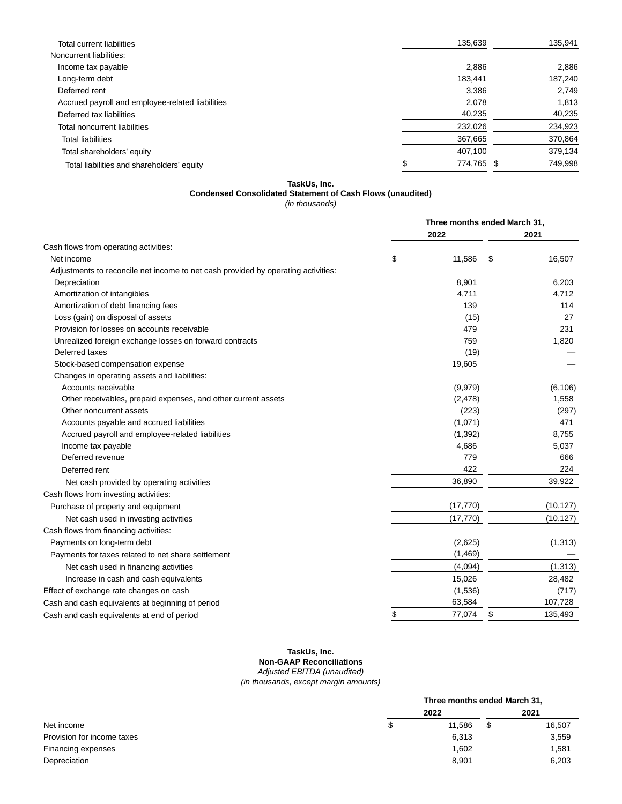| <b>Total current liabilities</b>                 | 135,639 | 135,941 |
|--------------------------------------------------|---------|---------|
| Noncurrent liabilities:                          |         |         |
| Income tax payable                               | 2.886   | 2.886   |
| Long-term debt                                   | 183.441 | 187,240 |
| Deferred rent                                    | 3,386   | 2.749   |
| Accrued payroll and employee-related liabilities | 2,078   | 1,813   |
| Deferred tax liabilities                         | 40,235  | 40,235  |
| Total noncurrent liabilities                     | 232,026 | 234,923 |
| <b>Total liabilities</b>                         | 367,665 | 370,864 |
| Total shareholders' equity                       | 407,100 | 379,134 |
| Total liabilities and shareholders' equity       | 774,765 | 749,998 |
|                                                  |         |         |

**TaskUs, Inc.**

# **Condensed Consolidated Statement of Cash Flows (unaudited)**

(in thousands)

|                                                                                   | Three months ended March 31, |           |    |           |
|-----------------------------------------------------------------------------------|------------------------------|-----------|----|-----------|
|                                                                                   |                              | 2022      |    | 2021      |
| Cash flows from operating activities:                                             |                              |           |    |           |
| Net income                                                                        | \$                           | 11,586    | \$ | 16,507    |
| Adjustments to reconcile net income to net cash provided by operating activities: |                              |           |    |           |
| Depreciation                                                                      |                              | 8,901     |    | 6,203     |
| Amortization of intangibles                                                       |                              | 4,711     |    | 4,712     |
| Amortization of debt financing fees                                               |                              | 139       |    | 114       |
| Loss (gain) on disposal of assets                                                 |                              | (15)      |    | 27        |
| Provision for losses on accounts receivable                                       |                              | 479       |    | 231       |
| Unrealized foreign exchange losses on forward contracts                           |                              | 759       |    | 1,820     |
| Deferred taxes                                                                    |                              | (19)      |    |           |
| Stock-based compensation expense                                                  |                              | 19,605    |    |           |
| Changes in operating assets and liabilities:                                      |                              |           |    |           |
| Accounts receivable                                                               |                              | (9,979)   |    | (6, 106)  |
| Other receivables, prepaid expenses, and other current assets                     |                              | (2, 478)  |    | 1,558     |
| Other noncurrent assets                                                           |                              | (223)     |    | (297)     |
| Accounts payable and accrued liabilities                                          |                              | (1,071)   |    | 471       |
| Accrued payroll and employee-related liabilities                                  |                              | (1, 392)  |    | 8,755     |
| Income tax payable                                                                |                              | 4,686     |    | 5,037     |
| Deferred revenue                                                                  |                              | 779       |    | 666       |
| Deferred rent                                                                     |                              | 422       |    | 224       |
| Net cash provided by operating activities                                         |                              | 36,890    |    | 39,922    |
| Cash flows from investing activities:                                             |                              |           |    |           |
| Purchase of property and equipment                                                |                              | (17, 770) |    | (10, 127) |
| Net cash used in investing activities                                             |                              | (17, 770) |    | (10, 127) |
| Cash flows from financing activities:                                             |                              |           |    |           |
| Payments on long-term debt                                                        |                              | (2,625)   |    | (1, 313)  |
| Payments for taxes related to net share settlement                                |                              | (1,469)   |    |           |
| Net cash used in financing activities                                             |                              | (4,094)   |    | (1, 313)  |
| Increase in cash and cash equivalents                                             |                              | 15,026    |    | 28,482    |
| Effect of exchange rate changes on cash                                           |                              | (1,536)   |    | (717)     |
| Cash and cash equivalents at beginning of period                                  |                              | 63,584    |    | 107,728   |
| Cash and cash equivalents at end of period                                        | \$                           | 77,074    | \$ | 135,493   |

## **TaskUs, Inc. Non-GAAP Reconciliations** Adjusted EBITDA (unaudited) (in thousands, except margin amounts)

|                            | Three months ended March 31, |        |   |        |
|----------------------------|------------------------------|--------|---|--------|
|                            |                              | 2022   |   | 2021   |
| Net income                 | \$                           | 11.586 | S | 16,507 |
| Provision for income taxes |                              | 6,313  |   | 3,559  |
| Financing expenses         |                              | 1,602  |   | 1,581  |
| Depreciation               |                              | 8,901  |   | 6,203  |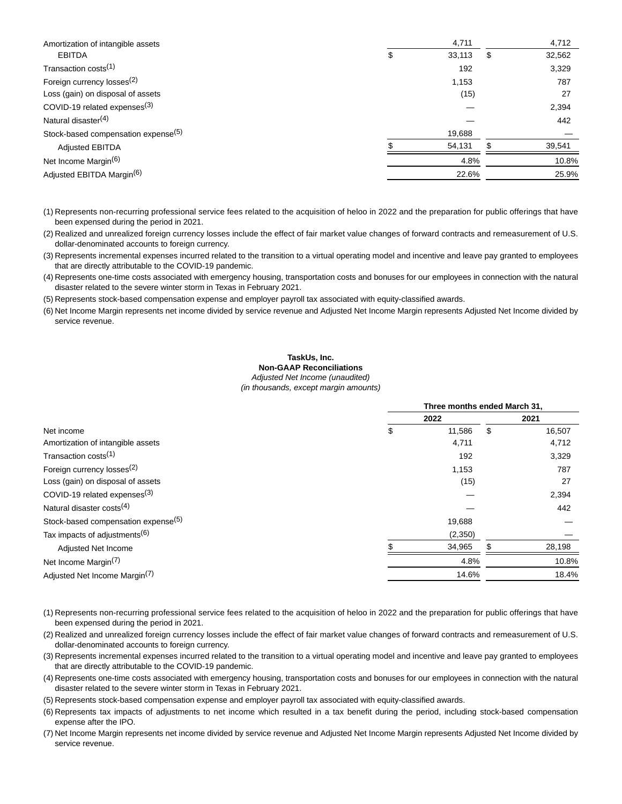| Amortization of intangible assets               | 4,711        | 4,712        |
|-------------------------------------------------|--------------|--------------|
| <b>EBITDA</b>                                   | \$<br>33,113 | \$<br>32,562 |
| Transaction costs <sup>(1)</sup>                | 192          | 3,329        |
| Foreign currency losses <sup>(2)</sup>          | 1,153        | 787          |
| Loss (gain) on disposal of assets               | (15)         | 27           |
| COVID-19 related expenses $(3)$                 |              | 2,394        |
| Natural disaster <sup>(4)</sup>                 |              | 442          |
| Stock-based compensation expense <sup>(5)</sup> | 19,688       |              |
| <b>Adjusted EBITDA</b>                          | 54,131       | 39,541       |
| Net Income Margin <sup>(6)</sup>                | 4.8%         | 10.8%        |
| Adjusted EBITDA Margin <sup>(6)</sup>           | 22.6%        | 25.9%        |

(1) Represents non-recurring professional service fees related to the acquisition of heloo in 2022 and the preparation for public offerings that have been expensed during the period in 2021.

(2) Realized and unrealized foreign currency losses include the effect of fair market value changes of forward contracts and remeasurement of U.S. dollar-denominated accounts to foreign currency.

(3) Represents incremental expenses incurred related to the transition to a virtual operating model and incentive and leave pay granted to employees that are directly attributable to the COVID-19 pandemic.

(4) Represents one-time costs associated with emergency housing, transportation costs and bonuses for our employees in connection with the natural disaster related to the severe winter storm in Texas in February 2021.

(5) Represents stock-based compensation expense and employer payroll tax associated with equity-classified awards.

(6) Net Income Margin represents net income divided by service revenue and Adjusted Net Income Margin represents Adjusted Net Income divided by service revenue.

### **TaskUs, Inc. Non-GAAP Reconciliations**

Adjusted Net Income (unaudited)

(in thousands, except margin amounts)

|                                                 | Three months ended March 31. |         |    |        |  |
|-------------------------------------------------|------------------------------|---------|----|--------|--|
|                                                 | 2022                         |         |    | 2021   |  |
| Net income                                      | \$                           | 11,586  | \$ | 16,507 |  |
| Amortization of intangible assets               |                              | 4,711   |    | 4,712  |  |
| Transaction costs <sup>(1)</sup>                |                              | 192     |    | 3,329  |  |
| Foreign currency losses <sup>(2)</sup>          |                              | 1,153   |    | 787    |  |
| Loss (gain) on disposal of assets               |                              | (15)    |    | 27     |  |
| COVID-19 related expenses <sup>(3)</sup>        |                              |         |    | 2,394  |  |
| Natural disaster costs <sup>(4)</sup>           |                              |         |    | 442    |  |
| Stock-based compensation expense <sup>(5)</sup> |                              | 19,688  |    |        |  |
| Tax impacts of adjustments <sup>(6)</sup>       |                              | (2,350) |    |        |  |
| Adjusted Net Income                             |                              | 34,965  |    | 28,198 |  |
| Net Income Margin <sup>(7)</sup>                |                              | 4.8%    |    | 10.8%  |  |
| Adjusted Net Income Margin <sup>(7)</sup>       |                              | 14.6%   |    | 18.4%  |  |

- (1) Represents non-recurring professional service fees related to the acquisition of heloo in 2022 and the preparation for public offerings that have been expensed during the period in 2021.
- (2) Realized and unrealized foreign currency losses include the effect of fair market value changes of forward contracts and remeasurement of U.S. dollar-denominated accounts to foreign currency.

(3) Represents incremental expenses incurred related to the transition to a virtual operating model and incentive and leave pay granted to employees that are directly attributable to the COVID-19 pandemic.

(4) Represents one-time costs associated with emergency housing, transportation costs and bonuses for our employees in connection with the natural disaster related to the severe winter storm in Texas in February 2021.

(5) Represents stock-based compensation expense and employer payroll tax associated with equity-classified awards.

- (6) Represents tax impacts of adjustments to net income which resulted in a tax benefit during the period, including stock-based compensation expense after the IPO.
- (7) Net Income Margin represents net income divided by service revenue and Adjusted Net Income Margin represents Adjusted Net Income divided by service revenue.